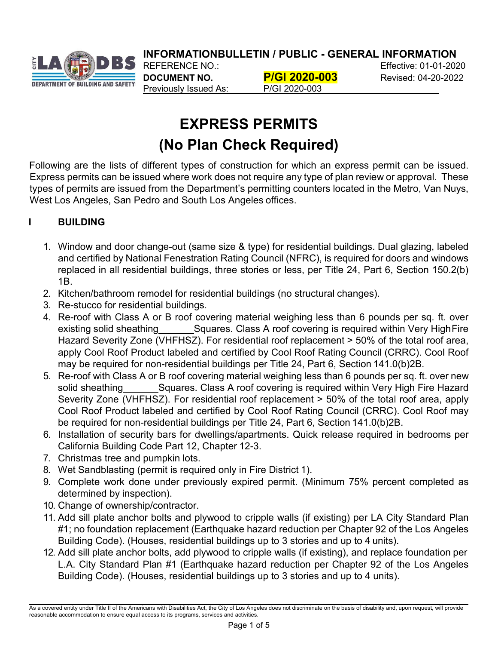**INFORMATIONBULLETIN / PUBLIC - GENERAL INFORMATION**



**DOCUMENT NO. P/GI 2020-003** Revised: 04-20-2022 Previously Issued As: P/GI 2020-003

REFERENCE NO.: Effective: 01-01-2020

# **EXPRESS PERMITS (No Plan Check Required)**

Following are the lists of different types of construction for which an express permit can be issued. Express permits can be issued where work does not require any type of plan review or approval. These types of permits are issued from the Department's permitting counters located in the Metro, Van Nuys, West Los Angeles, San Pedro and South Los Angeles offices.

# **I BUILDING**

- 1. Window and door change-out (same size & type) for residential buildings. Dual glazing, labeled and certified by National Fenestration Rating Council (NFRC), is required for doors and windows replaced in all residential buildings, three stories or less, per Title 24, Part 6, Section 150.2(b) 1B.
- 2. Kitchen/bathroom remodel for residential buildings (no structural changes).
- 3. Re-stucco for residential buildings.
- 4. Re-roof with Class A or B roof covering material weighing less than 6 pounds per sq. ft. over existing solid sheathing Squares. Class A roof covering is required within Very High Fire Hazard Severity Zone (VHFHSZ). For residential roof replacement > 50% of the total roof area, apply Cool Roof Product labeled and certified by Cool Roof Rating Council (CRRC). Cool Roof may be required for non-residential buildings per Title 24, Part 6, Section 141.0(b)2B.
- 5. Re-roof with Class A or B roof covering material weighing less than 6 pounds per sq. ft. over new solid sheathing Squares. Class A roof covering is required within Very High Fire Hazard Severity Zone (VHFHSZ). For residential roof replacement > 50% of the total roof area, apply Cool Roof Product labeled and certified by Cool Roof Rating Council (CRRC). Cool Roof may be required for non-residential buildings per Title 24, Part 6, Section 141.0(b)2B.
- 6. Installation of security bars for dwellings/apartments. Quick release required in bedrooms per California Building Code Part 12, Chapter 12-3.
- 7. Christmas tree and pumpkin lots.
- 8. Wet Sandblasting (permit is required only in Fire District 1).
- 9. Complete work done under previously expired permit. (Minimum 75% percent completed as determined by inspection).
- 10. Change of ownership/contractor.
- 11. Add sill plate anchor bolts and plywood to cripple walls (if existing) per LA City Standard Plan #1; no foundation replacement (Earthquake hazard reduction per Chapter 92 of the Los Angeles Building Code). (Houses, residential buildings up to 3 stories and up to 4 units).
- 12. Add sill plate anchor bolts, add plywood to cripple walls (if existing), and replace foundation per L.A. City Standard Plan #1 (Earthquake hazard reduction per Chapter 92 of the Los Angeles Building Code). (Houses, residential buildings up to 3 stories and up to 4 units).

As a covered entity under Title II of the Americans with Disabilities Act, the City of Los Angeles does not discriminate on the basis of disability and, upon request, will provide reasonable accommodation to ensure equal access to its programs, services and activities.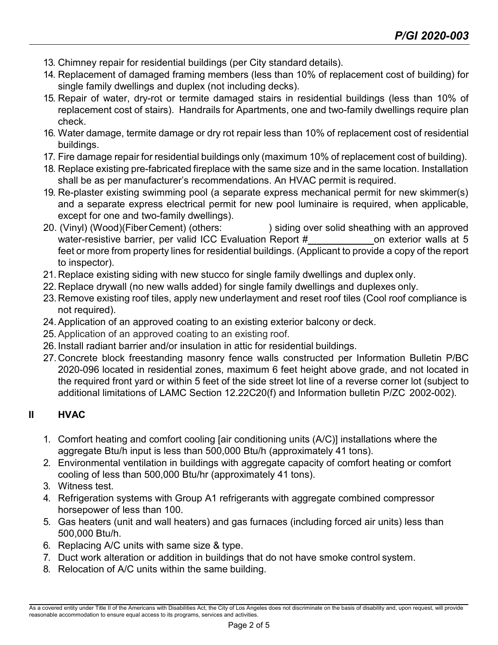- 13. Chimney repair for residential buildings (per City standard details).
- 14. Replacement of damaged framing members (less than 10% of replacement cost of building) for single family dwellings and duplex (not including decks).
- 15. Repair of water, dry-rot or termite damaged stairs in residential buildings (less than 10% of replacement cost of stairs). Handrails for Apartments, one and two-family dwellings require plan check.
- 16. Water damage, termite damage or dry rot repair less than 10% of replacement cost of residential buildings.
- 17. Fire damage repair for residential buildings only (maximum 10% of replacement cost of building).
- 18. Replace existing pre-fabricated fireplace with the same size and in the same location. Installation shall be as per manufacturer's recommendations. An HVAC permit is required.
- 19. Re-plaster existing swimming pool (a separate express mechanical permit for new skimmer(s) and a separate express electrical permit for new pool luminaire is required, when applicable, except for one and two-family dwellings).
- 20. (Vinyl) (Wood)(FiberCement) (others: ) siding over solid sheathing with an approved water-resistive barrier, per valid ICC Evaluation Report # on exterior walls at 5 feet or more from property lines for residential buildings. (Applicant to provide a copy of the report to inspector).
- 21. Replace existing siding with new stucco for single family dwellings and duplex only.
- 22. Replace drywall (no new walls added) for single family dwellings and duplexes only.
- 23.Remove existing roof tiles, apply new underlayment and reset roof tiles (Cool roof compliance is not required).
- 24.Application of an approved coating to an existing exterior balcony or deck.
- 25.Application of an approved coating to an existing roof.
- 26. Install radiant barrier and/or insulation in attic for residential buildings.
- 27.Concrete block freestanding masonry fence walls constructed per Information Bulletin P/BC 2020-096 located in residential zones, maximum 6 feet height above grade, and not located in the required front yard or within 5 feet of the side street lot line of a reverse corner lot (subject to additional limitations of LAMC Section 12.22C20(f) and Information bulletin P/ZC 2002-002).

# **II HVAC**

- 1. Comfort heating and comfort cooling [air conditioning units (A/C)] installations where the aggregate Btu/h input is less than 500,000 Btu/h (approximately 41 tons).
- 2. Environmental ventilation in buildings with aggregate capacity of comfort heating or comfort cooling of less than 500,000 Btu/hr (approximately 41 tons).
- 3. Witness test.
- 4. Refrigeration systems with Group A1 refrigerants with aggregate combined compressor horsepower of less than 100.
- 5. Gas heaters (unit and wall heaters) and gas furnaces (including forced air units) less than 500,000 Btu/h.
- 6. Replacing A/C units with same size & type.
- 7. Duct work alteration or addition in buildings that do not have smoke control system.
- 8. Relocation of A/C units within the same building.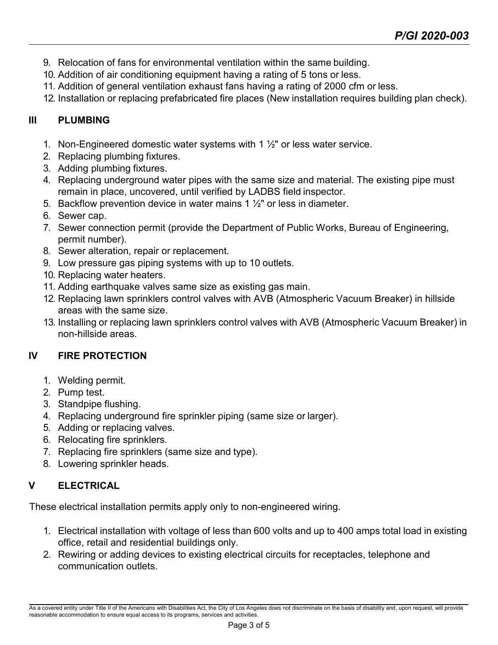- 9. Relocation of fans for environmental ventilation within the same building.
- 10. Addition of air conditioning equipment having a rating of 5 tons or less.
- 11. Addition of general ventilation exhaust fans having a rating of 2000 cfm or less.
- 12. Installation or replacing prefabricated fire places (New installation requires building plan check).

## **III PLUMBING**

- 1. Non-Engineered domestic water systems with 1  $\frac{1}{2}$ " or less water service.
- 2. Replacing plumbing fixtures.
- 3. Adding plumbing fixtures.
- 4. Replacing underground water pipes with the same size and material. The existing pipe must remain in place, uncovered, until verified by LADBS field inspector.
- 5. Backflow prevention device in water mains  $1\frac{1}{2}$ " or less in diameter.
- 6. Sewer cap.
- 7. Sewer connection permit (provide the Department of Public Works, Bureau of Engineering, permit number).
- 8. Sewer alteration, repair or replacement.
- 9. Low pressure gas piping systems with up to 10 outlets.
- 10. Replacing water heaters.
- 11. Adding earthquake valves same size as existing gas main.
- 12. Replacing lawn sprinklers control valves with AVB (Atmospheric Vacuum Breaker) in hillside areas with the same size.
- 13. Installing or replacing lawn sprinklers control valves with AVB (Atmospheric Vacuum Breaker) in non-hillside areas.

#### **IV FIRE PROTECTION**

- 1. Welding permit.
- 2. Pump test.
- 3. Standpipe flushing.
- 4. Replacing underground fire sprinkler piping (same size or larger).
- 5. Adding or replacing valves.
- 6. Relocating fire sprinklers.
- 7. Replacing fire sprinklers (same size and type).
- 8. Lowering sprinkler heads.

# **V ELECTRICAL**

These electrical installation permits apply only to non-engineered wiring.

- 1. Electrical installation with voltage of less than 600 volts and up to 400 amps total load in existing office, retail and residential buildings only.
- 2. Rewiring or adding devices to existing electrical circuits for receptacles, telephone and communication outlets.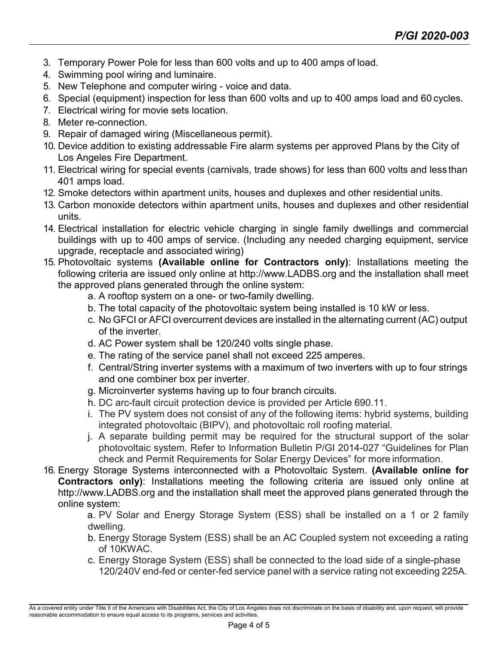- 3. Temporary Power Pole for less than 600 volts and up to 400 amps of load.
- 4. Swimming pool wiring and luminaire.
- 5. New Telephone and computer wiring voice and data.
- 6. Special (equipment) inspection for less than 600 volts and up to 400 amps load and 60 cycles.
- 7. Electrical wiring for movie sets location.
- 8. Meter re-connection.
- 9. Repair of damaged wiring (Miscellaneous permit).
- 10. Device addition to existing addressable Fire alarm systems per approved Plans by the City of Los Angeles Fire Department.
- 11. Electrical wiring for special events (carnivals, trade shows) for less than 600 volts and less than 401 amps load.
- 12. Smoke detectors within apartment units, houses and duplexes and other residential units.
- 13. Carbon monoxide detectors within apartment units, houses and duplexes and other residential units.
- 14. Electrical installation for electric vehicle charging in single family dwellings and commercial buildings with up to 400 amps of service. (Including any needed charging equipment, service upgrade, receptacle and associated wiring)
- 15. Photovoltaic systems **(Available online for Contractors only)**: Installations meeting the following criteria are issued only online at [http://www.LADBS.org a](http://www.ladbs.org/)nd the installation shall meet the approved plans generated through the online system:
	- a. A rooftop system on a one- or two-family dwelling.
	- b. The total capacity of the photovoltaic system being installed is 10 kW or less.
	- c. No GFCI or AFCI overcurrent devices are installed in the alternating current (AC) output of the inverter.
	- d. AC Power system shall be 120/240 volts single phase.
	- e. The rating of the service panel shall not exceed 225 amperes.
	- f. Central/String inverter systems with a maximum of two inverters with up to four strings and one combiner box per inverter.
	- g. Microinverter systems having up to four branch circuits.
	- h. DC arc-fault circuit protection device is provided per Article 690.11.
	- i. The PV system does not consist of any of the following items: hybrid systems, building integrated photovoltaic (BIPV), and photovoltaic roll roofing material.
	- j. A separate building permit may be required for the structural support of the solar photovoltaic system. Refer to Information Bulletin P/GI 2014-027 "Guidelines for Plan check and Permit Requirements for Solar Energy Devices" for more information.
- 16. Energy Storage Systems interconnected with a Photovoltaic System. **(Available online for Contractors only)**: Installations meeting the following criteria are issued only online a[t](http://www.ladbs.org/) [http://www.LADBS.org](http://www.ladbs.org/) and the installation shall meet the approved plans generated through the online system:

a. PV Solar and Energy Storage System (ESS) shall be installed on a 1 or 2 family dwelling.

- b. Energy Storage System (ESS) shall be an AC Coupled system not exceeding a rating of 10KWAC.
- c. Energy Storage System (ESS) shall be connected to the load side of a single-phase 120/240V end-fed or center-fed service panel with a service rating not exceeding 225A.